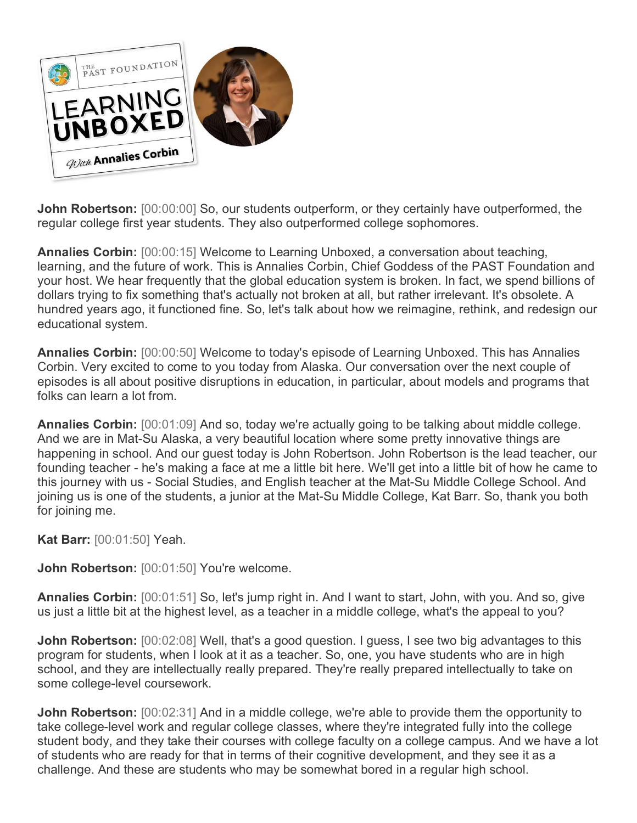

**John Robertson:** [00:00:00] So, our students outperform, or they certainly have outperformed, the regular college first year students. They also outperformed college sophomores.

**Annalies Corbin:** [00:00:15] Welcome to Learning Unboxed, a conversation about teaching, learning, and the future of work. This is Annalies Corbin, Chief Goddess of the PAST Foundation and your host. We hear frequently that the global education system is broken. In fact, we spend billions of dollars trying to fix something that's actually not broken at all, but rather irrelevant. It's obsolete. A hundred years ago, it functioned fine. So, let's talk about how we reimagine, rethink, and redesign our educational system.

**Annalies Corbin:** [00:00:50] Welcome to today's episode of Learning Unboxed. This has Annalies Corbin. Very excited to come to you today from Alaska. Our conversation over the next couple of episodes is all about positive disruptions in education, in particular, about models and programs that folks can learn a lot from.

**Annalies Corbin:** [00:01:09] And so, today we're actually going to be talking about middle college. And we are in Mat-Su Alaska, a very beautiful location where some pretty innovative things are happening in school. And our guest today is John Robertson. John Robertson is the lead teacher, our founding teacher - he's making a face at me a little bit here. We'll get into a little bit of how he came to this journey with us - Social Studies, and English teacher at the Mat-Su Middle College School. And joining us is one of the students, a junior at the Mat-Su Middle College, Kat Barr. So, thank you both for joining me.

**Kat Barr:** [00:01:50] Yeah.

**John Robertson:** [00:01:50] You're welcome.

**Annalies Corbin:** [00:01:51] So, let's jump right in. And I want to start, John, with you. And so, give us just a little bit at the highest level, as a teacher in a middle college, what's the appeal to you?

**John Robertson:** [00:02:08] Well, that's a good question. I quess, I see two big advantages to this program for students, when I look at it as a teacher. So, one, you have students who are in high school, and they are intellectually really prepared. They're really prepared intellectually to take on some college-level coursework.

**John Robertson:** [00:02:31] And in a middle college, we're able to provide them the opportunity to take college-level work and regular college classes, where they're integrated fully into the college student body, and they take their courses with college faculty on a college campus. And we have a lot of students who are ready for that in terms of their cognitive development, and they see it as a challenge. And these are students who may be somewhat bored in a regular high school.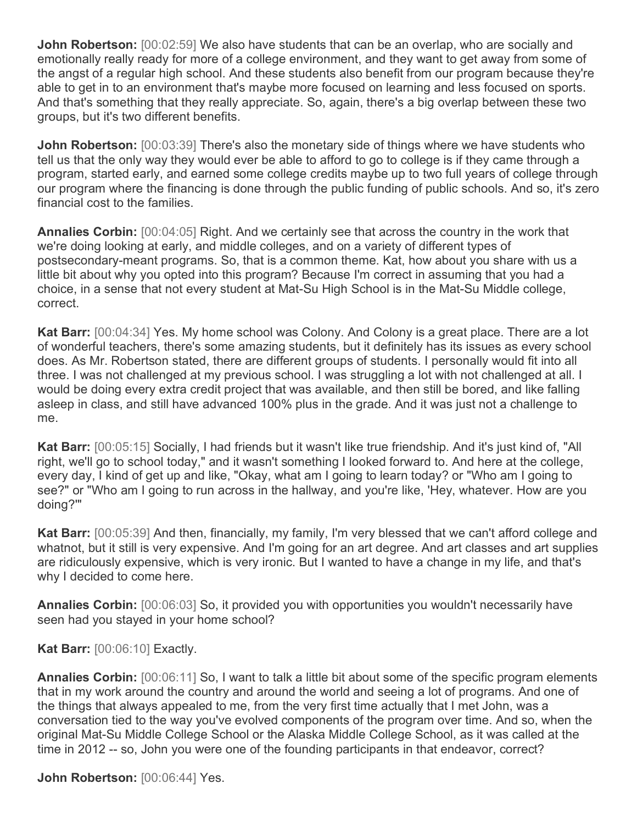**John Robertson:** [00:02:59] We also have students that can be an overlap, who are socially and emotionally really ready for more of a college environment, and they want to get away from some of the angst of a regular high school. And these students also benefit from our program because they're able to get in to an environment that's maybe more focused on learning and less focused on sports. And that's something that they really appreciate. So, again, there's a big overlap between these two groups, but it's two different benefits.

**John Robertson:** [00:03:39] There's also the monetary side of things where we have students who tell us that the only way they would ever be able to afford to go to college is if they came through a program, started early, and earned some college credits maybe up to two full years of college through our program where the financing is done through the public funding of public schools. And so, it's zero financial cost to the families.

**Annalies Corbin:** [00:04:05] Right. And we certainly see that across the country in the work that we're doing looking at early, and middle colleges, and on a variety of different types of postsecondary-meant programs. So, that is a common theme. Kat, how about you share with us a little bit about why you opted into this program? Because I'm correct in assuming that you had a choice, in a sense that not every student at Mat-Su High School is in the Mat-Su Middle college, correct.

**Kat Barr:** [00:04:34] Yes. My home school was Colony. And Colony is a great place. There are a lot of wonderful teachers, there's some amazing students, but it definitely has its issues as every school does. As Mr. Robertson stated, there are different groups of students. I personally would fit into all three. I was not challenged at my previous school. I was struggling a lot with not challenged at all. I would be doing every extra credit project that was available, and then still be bored, and like falling asleep in class, and still have advanced 100% plus in the grade. And it was just not a challenge to me.

**Kat Barr:** [00:05:15] Socially, I had friends but it wasn't like true friendship. And it's just kind of, "All right, we'll go to school today," and it wasn't something I looked forward to. And here at the college, every day, I kind of get up and like, "Okay, what am I going to learn today? or "Who am I going to see?" or "Who am I going to run across in the hallway, and you're like, 'Hey, whatever. How are you doing?'"

**Kat Barr:** [00:05:39] And then, financially, my family, I'm very blessed that we can't afford college and whatnot, but it still is very expensive. And I'm going for an art degree. And art classes and art supplies are ridiculously expensive, which is very ironic. But I wanted to have a change in my life, and that's why I decided to come here.

**Annalies Corbin:** [00:06:03] So, it provided you with opportunities you wouldn't necessarily have seen had you stayed in your home school?

**Kat Barr:** [00:06:10] Exactly.

**Annalies Corbin:** [00:06:11] So, I want to talk a little bit about some of the specific program elements that in my work around the country and around the world and seeing a lot of programs. And one of the things that always appealed to me, from the very first time actually that I met John, was a conversation tied to the way you've evolved components of the program over time. And so, when the original Mat-Su Middle College School or the Alaska Middle College School, as it was called at the time in 2012 -- so, John you were one of the founding participants in that endeavor, correct?

**John Robertson:** [00:06:44] Yes.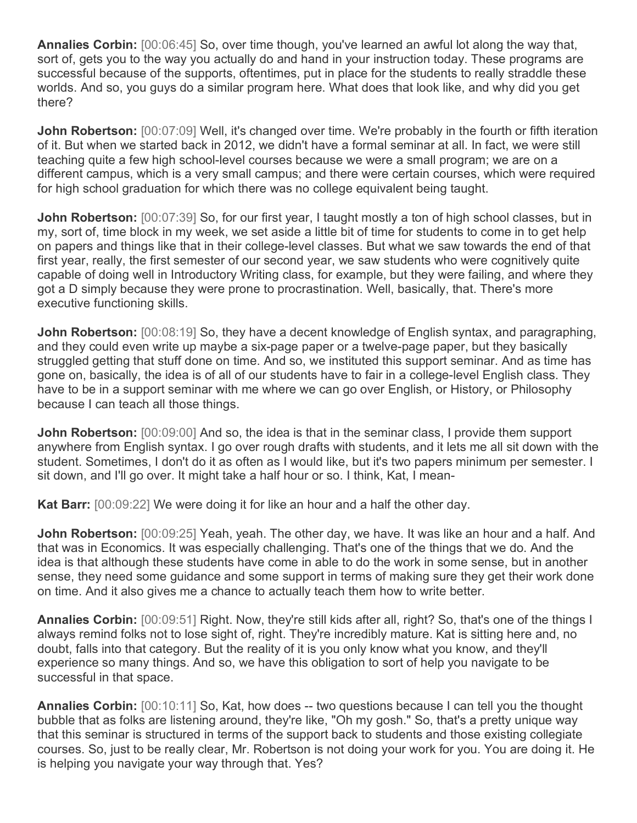**Annalies Corbin:** [00:06:45] So, over time though, you've learned an awful lot along the way that, sort of, gets you to the way you actually do and hand in your instruction today. These programs are successful because of the supports, oftentimes, put in place for the students to really straddle these worlds. And so, you guys do a similar program here. What does that look like, and why did you get there?

**John Robertson:** [00:07:09] Well, it's changed over time. We're probably in the fourth or fifth iteration of it. But when we started back in 2012, we didn't have a formal seminar at all. In fact, we were still teaching quite a few high school-level courses because we were a small program; we are on a different campus, which is a very small campus; and there were certain courses, which were required for high school graduation for which there was no college equivalent being taught.

**John Robertson:** [00:07:39] So, for our first year, I taught mostly a ton of high school classes, but in my, sort of, time block in my week, we set aside a little bit of time for students to come in to get help on papers and things like that in their college-level classes. But what we saw towards the end of that first year, really, the first semester of our second year, we saw students who were cognitively quite capable of doing well in Introductory Writing class, for example, but they were failing, and where they got a D simply because they were prone to procrastination. Well, basically, that. There's more executive functioning skills.

**John Robertson:** [00:08:19] So, they have a decent knowledge of English syntax, and paragraphing, and they could even write up maybe a six-page paper or a twelve-page paper, but they basically struggled getting that stuff done on time. And so, we instituted this support seminar. And as time has gone on, basically, the idea is of all of our students have to fair in a college-level English class. They have to be in a support seminar with me where we can go over English, or History, or Philosophy because I can teach all those things.

**John Robertson:** [00:09:00] And so, the idea is that in the seminar class, I provide them support anywhere from English syntax. I go over rough drafts with students, and it lets me all sit down with the student. Sometimes, I don't do it as often as I would like, but it's two papers minimum per semester. I sit down, and I'll go over. It might take a half hour or so. I think, Kat, I mean-

**Kat Barr:** [00:09:22] We were doing it for like an hour and a half the other day.

**John Robertson:** [00:09:25] Yeah, yeah. The other day, we have. It was like an hour and a half. And that was in Economics. It was especially challenging. That's one of the things that we do. And the idea is that although these students have come in able to do the work in some sense, but in another sense, they need some guidance and some support in terms of making sure they get their work done on time. And it also gives me a chance to actually teach them how to write better.

**Annalies Corbin:** [00:09:51] Right. Now, they're still kids after all, right? So, that's one of the things I always remind folks not to lose sight of, right. They're incredibly mature. Kat is sitting here and, no doubt, falls into that category. But the reality of it is you only know what you know, and they'll experience so many things. And so, we have this obligation to sort of help you navigate to be successful in that space.

**Annalies Corbin:** [00:10:11] So, Kat, how does -- two questions because I can tell you the thought bubble that as folks are listening around, they're like, "Oh my gosh." So, that's a pretty unique way that this seminar is structured in terms of the support back to students and those existing collegiate courses. So, just to be really clear, Mr. Robertson is not doing your work for you. You are doing it. He is helping you navigate your way through that. Yes?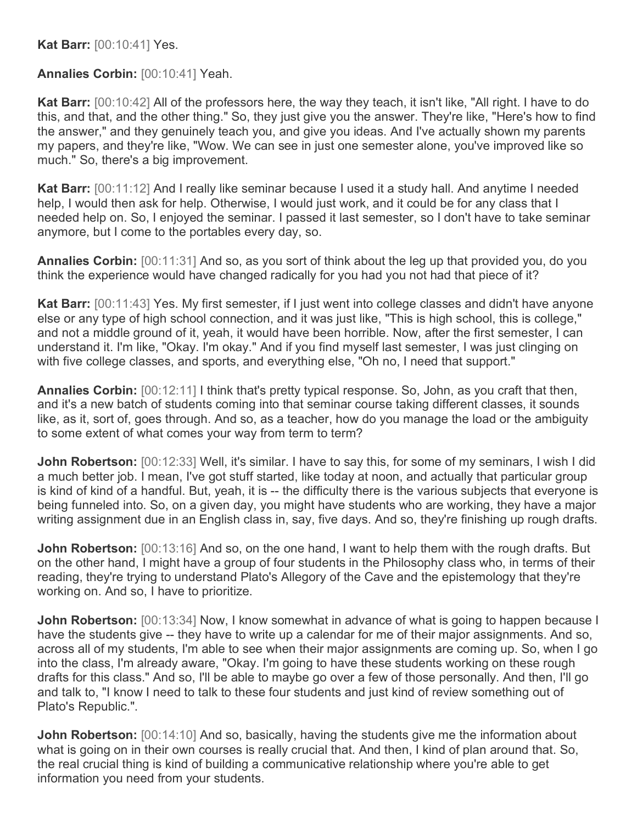**Kat Barr:** [00:10:41] Yes.

**Annalies Corbin:** [00:10:41] Yeah.

**Kat Barr:** [00:10:42] All of the professors here, the way they teach, it isn't like, "All right. I have to do this, and that, and the other thing." So, they just give you the answer. They're like, "Here's how to find the answer," and they genuinely teach you, and give you ideas. And I've actually shown my parents my papers, and they're like, "Wow. We can see in just one semester alone, you've improved like so much." So, there's a big improvement.

**Kat Barr:** [00:11:12] And I really like seminar because I used it a study hall. And anytime I needed help, I would then ask for help. Otherwise, I would just work, and it could be for any class that I needed help on. So, I enjoyed the seminar. I passed it last semester, so I don't have to take seminar anymore, but I come to the portables every day, so.

**Annalies Corbin:** [00:11:31] And so, as you sort of think about the leg up that provided you, do you think the experience would have changed radically for you had you not had that piece of it?

**Kat Barr:** [00:11:43] Yes. My first semester, if I just went into college classes and didn't have anyone else or any type of high school connection, and it was just like, "This is high school, this is college," and not a middle ground of it, yeah, it would have been horrible. Now, after the first semester, I can understand it. I'm like, "Okay. I'm okay." And if you find myself last semester, I was just clinging on with five college classes, and sports, and everything else, "Oh no, I need that support."

**Annalies Corbin:** [00:12:11] I think that's pretty typical response. So, John, as you craft that then, and it's a new batch of students coming into that seminar course taking different classes, it sounds like, as it, sort of, goes through. And so, as a teacher, how do you manage the load or the ambiguity to some extent of what comes your way from term to term?

**John Robertson:** [00:12:33] Well, it's similar. I have to say this, for some of my seminars, I wish I did a much better job. I mean, I've got stuff started, like today at noon, and actually that particular group is kind of kind of a handful. But, yeah, it is -- the difficulty there is the various subjects that everyone is being funneled into. So, on a given day, you might have students who are working, they have a major writing assignment due in an English class in, say, five days. And so, they're finishing up rough drafts.

**John Robertson:** [00:13:16] And so, on the one hand, I want to help them with the rough drafts. But on the other hand, I might have a group of four students in the Philosophy class who, in terms of their reading, they're trying to understand Plato's Allegory of the Cave and the epistemology that they're working on. And so, I have to prioritize.

**John Robertson:** [00:13:34] Now, I know somewhat in advance of what is going to happen because I have the students give -- they have to write up a calendar for me of their major assignments. And so, across all of my students, I'm able to see when their major assignments are coming up. So, when I go into the class, I'm already aware, "Okay. I'm going to have these students working on these rough drafts for this class." And so, I'll be able to maybe go over a few of those personally. And then, I'll go and talk to, "I know I need to talk to these four students and just kind of review something out of Plato's Republic.".

**John Robertson:** [00:14:10] And so, basically, having the students give me the information about what is going on in their own courses is really crucial that. And then, I kind of plan around that. So, the real crucial thing is kind of building a communicative relationship where you're able to get information you need from your students.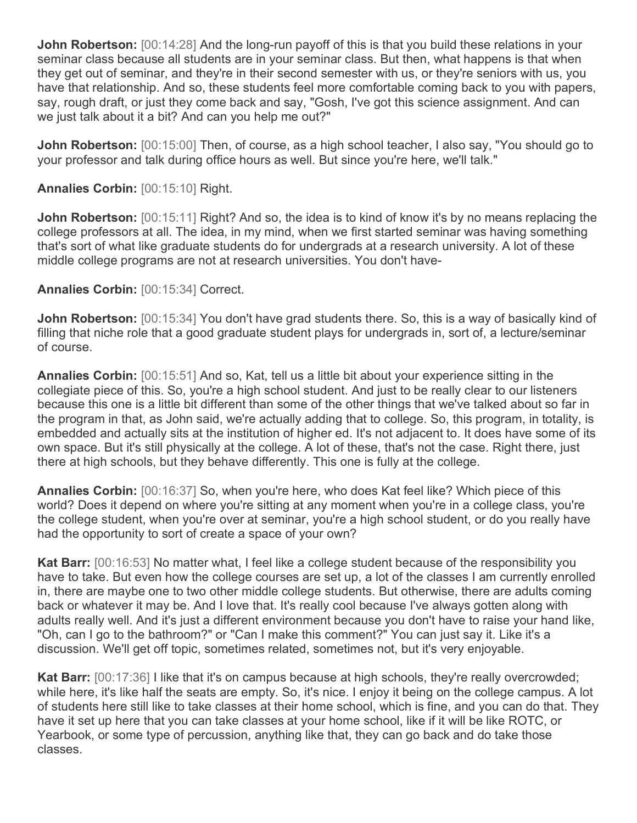**John Robertson:** [00:14:28] And the long-run payoff of this is that you build these relations in your seminar class because all students are in your seminar class. But then, what happens is that when they get out of seminar, and they're in their second semester with us, or they're seniors with us, you have that relationship. And so, these students feel more comfortable coming back to you with papers, say, rough draft, or just they come back and say, "Gosh, I've got this science assignment. And can we just talk about it a bit? And can you help me out?"

**John Robertson:** [00:15:00] Then, of course, as a high school teacher, I also say, "You should go to your professor and talk during office hours as well. But since you're here, we'll talk."

**Annalies Corbin:** [00:15:10] Right.

**John Robertson:** [00:15:11] Right? And so, the idea is to kind of know it's by no means replacing the college professors at all. The idea, in my mind, when we first started seminar was having something that's sort of what like graduate students do for undergrads at a research university. A lot of these middle college programs are not at research universities. You don't have-

**Annalies Corbin:** [00:15:34] Correct.

**John Robertson:** [00:15:34] You don't have grad students there. So, this is a way of basically kind of filling that niche role that a good graduate student plays for undergrads in, sort of, a lecture/seminar of course.

**Annalies Corbin:** [00:15:51] And so, Kat, tell us a little bit about your experience sitting in the collegiate piece of this. So, you're a high school student. And just to be really clear to our listeners because this one is a little bit different than some of the other things that we've talked about so far in the program in that, as John said, we're actually adding that to college. So, this program, in totality, is embedded and actually sits at the institution of higher ed. It's not adjacent to. It does have some of its own space. But it's still physically at the college. A lot of these, that's not the case. Right there, just there at high schools, but they behave differently. This one is fully at the college.

**Annalies Corbin:**  $[00:16:37]$  So, when you're here, who does Kat feel like? Which piece of this world? Does it depend on where you're sitting at any moment when you're in a college class, you're the college student, when you're over at seminar, you're a high school student, or do you really have had the opportunity to sort of create a space of your own?

**Kat Barr:** [00:16:53] No matter what, I feel like a college student because of the responsibility you have to take. But even how the college courses are set up, a lot of the classes I am currently enrolled in, there are maybe one to two other middle college students. But otherwise, there are adults coming back or whatever it may be. And I love that. It's really cool because I've always gotten along with adults really well. And it's just a different environment because you don't have to raise your hand like, "Oh, can I go to the bathroom?" or "Can I make this comment?" You can just say it. Like it's a discussion. We'll get off topic, sometimes related, sometimes not, but it's very enjoyable.

**Kat Barr:** [00:17:36] I like that it's on campus because at high schools, they're really overcrowded; while here, it's like half the seats are empty. So, it's nice. I enjoy it being on the college campus. A lot of students here still like to take classes at their home school, which is fine, and you can do that. They have it set up here that you can take classes at your home school, like if it will be like ROTC, or Yearbook, or some type of percussion, anything like that, they can go back and do take those classes.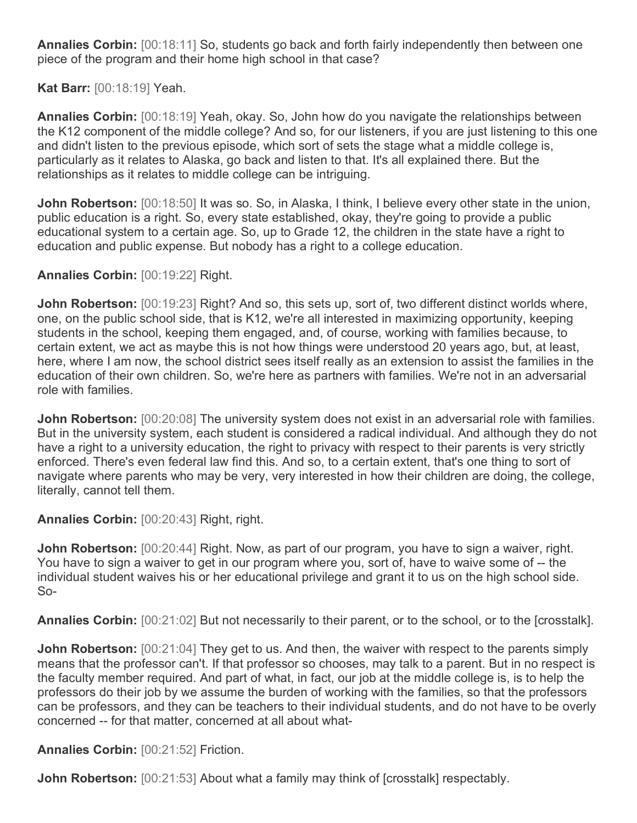**Annalies Corbin:** [00:18:11] So, students go back and forth fairly independently then between one piece of the program and their home high school in that case?

**Kat Barr:** [00:18:19] Yeah.

**Annalies Corbin:** [00:18:19] Yeah, okay. So, John how do you navigate the relationships between the K12 component of the middle college? And so, for our listeners, if you are just listening to this one and didn't listen to the previous episode, which sort of sets the stage what a middle college is, particularly as it relates to Alaska, go back and listen to that. It's all explained there. But the relationships as it relates to middle college can be intriguing.

**John Robertson:** [00:18:50] It was so. So, in Alaska, I think, I believe every other state in the union, public education is a right. So, every state established, okay, they're going to provide a public educational system to a certain age. So, up to Grade 12, the children in the state have a right to education and public expense. But nobody has a right to a college education.

**Annalies Corbin:** [00:19:22] Right.

**John Robertson:** [00:19:23] Right? And so, this sets up, sort of, two different distinct worlds where, one, on the public school side, that is K12, we're all interested in maximizing opportunity, keeping students in the school, keeping them engaged, and, of course, working with families because, to certain extent, we act as maybe this is not how things were understood 20 years ago, but, at least, here, where I am now, the school district sees itself really as an extension to assist the families in the education of their own children. So, we're here as partners with families. We're not in an adversarial role with families.

**John Robertson:** [00:20:08] The university system does not exist in an adversarial role with families. But in the university system, each student is considered a radical individual. And although they do not have a right to a university education, the right to privacy with respect to their parents is very strictly enforced. There's even federal law find this. And so, to a certain extent, that's one thing to sort of navigate where parents who may be very, very interested in how their children are doing, the college, literally, cannot tell them.

**Annalies Corbin:** [00:20:43] Right, right.

**John Robertson:** [00:20:44] Right. Now, as part of our program, you have to sign a waiver, right. You have to sign a waiver to get in our program where you, sort of, have to waive some of -- the individual student waives his or her educational privilege and grant it to us on the high school side. So-

**Annalies Corbin:** [00:21:02] But not necessarily to their parent, or to the school, or to the [crosstalk].

**John Robertson:** [00:21:04] They get to us. And then, the waiver with respect to the parents simply means that the professor can't. If that professor so chooses, may talk to a parent. But in no respect is the faculty member required. And part of what, in fact, our job at the middle college is, is to help the professors do their job by we assume the burden of working with the families, so that the professors can be professors, and they can be teachers to their individual students, and do not have to be overly concerned -- for that matter, concerned at all about what-

**Annalies Corbin:** [00:21:52] Friction.

**John Robertson:** [00:21:53] About what a family may think of [crosstalk] respectably.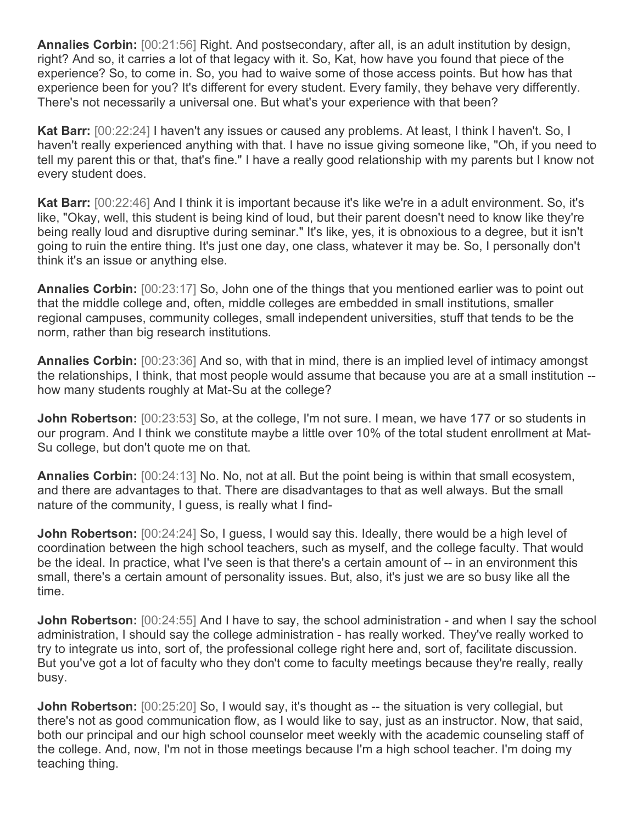**Annalies Corbin:** [00:21:56] Right. And postsecondary, after all, is an adult institution by design, right? And so, it carries a lot of that legacy with it. So, Kat, how have you found that piece of the experience? So, to come in. So, you had to waive some of those access points. But how has that experience been for you? It's different for every student. Every family, they behave very differently. There's not necessarily a universal one. But what's your experience with that been?

**Kat Barr:** [00:22:24] I haven't any issues or caused any problems. At least, I think I haven't. So, I haven't really experienced anything with that. I have no issue giving someone like, "Oh, if you need to tell my parent this or that, that's fine." I have a really good relationship with my parents but I know not every student does.

**Kat Barr:** [00:22:46] And I think it is important because it's like we're in a adult environment. So, it's like, "Okay, well, this student is being kind of loud, but their parent doesn't need to know like they're being really loud and disruptive during seminar." It's like, yes, it is obnoxious to a degree, but it isn't going to ruin the entire thing. It's just one day, one class, whatever it may be. So, I personally don't think it's an issue or anything else.

**Annalies Corbin:** [00:23:17] So, John one of the things that you mentioned earlier was to point out that the middle college and, often, middle colleges are embedded in small institutions, smaller regional campuses, community colleges, small independent universities, stuff that tends to be the norm, rather than big research institutions.

**Annalies Corbin:** [00:23:36] And so, with that in mind, there is an implied level of intimacy amongst the relationships, I think, that most people would assume that because you are at a small institution - how many students roughly at Mat-Su at the college?

**John Robertson:** [00:23:53] So, at the college, I'm not sure. I mean, we have 177 or so students in our program. And I think we constitute maybe a little over 10% of the total student enrollment at Mat-Su college, but don't quote me on that.

**Annalies Corbin:** [00:24:13] No. No, not at all. But the point being is within that small ecosystem, and there are advantages to that. There are disadvantages to that as well always. But the small nature of the community, I guess, is really what I find-

**John Robertson:** [00:24:24] So, I guess, I would say this. Ideally, there would be a high level of coordination between the high school teachers, such as myself, and the college faculty. That would be the ideal. In practice, what I've seen is that there's a certain amount of -- in an environment this small, there's a certain amount of personality issues. But, also, it's just we are so busy like all the time.

**John Robertson:** [00:24:55] And I have to say, the school administration - and when I say the school administration, I should say the college administration - has really worked. They've really worked to try to integrate us into, sort of, the professional college right here and, sort of, facilitate discussion. But you've got a lot of faculty who they don't come to faculty meetings because they're really, really busy.

**John Robertson:** [00:25:20] So, I would say, it's thought as -- the situation is very collegial, but there's not as good communication flow, as I would like to say, just as an instructor. Now, that said, both our principal and our high school counselor meet weekly with the academic counseling staff of the college. And, now, I'm not in those meetings because I'm a high school teacher. I'm doing my teaching thing.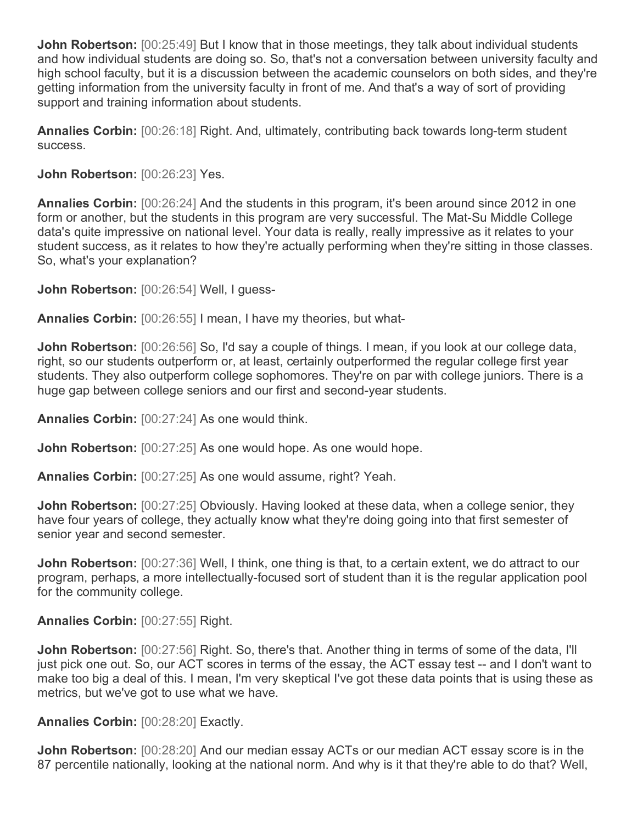**John Robertson:** [00:25:49] But I know that in those meetings, they talk about individual students and how individual students are doing so. So, that's not a conversation between university faculty and high school faculty, but it is a discussion between the academic counselors on both sides, and they're getting information from the university faculty in front of me. And that's a way of sort of providing support and training information about students.

**Annalies Corbin:** [00:26:18] Right. And, ultimately, contributing back towards long-term student success.

**John Robertson:** [00:26:23] Yes.

**Annalies Corbin:** [00:26:24] And the students in this program, it's been around since 2012 in one form or another, but the students in this program are very successful. The Mat-Su Middle College data's quite impressive on national level. Your data is really, really impressive as it relates to your student success, as it relates to how they're actually performing when they're sitting in those classes. So, what's your explanation?

**John Robertson:** [00:26:54] Well, I guess-

**Annalies Corbin:** [00:26:55] I mean, I have my theories, but what-

**John Robertson:** [00:26:56] So, I'd say a couple of things. I mean, if you look at our college data, right, so our students outperform or, at least, certainly outperformed the regular college first year students. They also outperform college sophomores. They're on par with college juniors. There is a huge gap between college seniors and our first and second-year students.

**Annalies Corbin:** [00:27:24] As one would think.

**John Robertson:** [00:27:25] As one would hope. As one would hope.

**Annalies Corbin:** [00:27:25] As one would assume, right? Yeah.

**John Robertson:** [00:27:25] Obviously. Having looked at these data, when a college senior, they have four years of college, they actually know what they're doing going into that first semester of senior year and second semester.

**John Robertson:** [00:27:36] Well, I think, one thing is that, to a certain extent, we do attract to our program, perhaps, a more intellectually-focused sort of student than it is the regular application pool for the community college.

**Annalies Corbin:** [00:27:55] Right.

**John Robertson:** [00:27:56] Right. So, there's that. Another thing in terms of some of the data, I'll just pick one out. So, our ACT scores in terms of the essay, the ACT essay test -- and I don't want to make too big a deal of this. I mean, I'm very skeptical I've got these data points that is using these as metrics, but we've got to use what we have.

**Annalies Corbin:** [00:28:20] Exactly.

**John Robertson:** [00:28:20] And our median essay ACTs or our median ACT essay score is in the 87 percentile nationally, looking at the national norm. And why is it that they're able to do that? Well,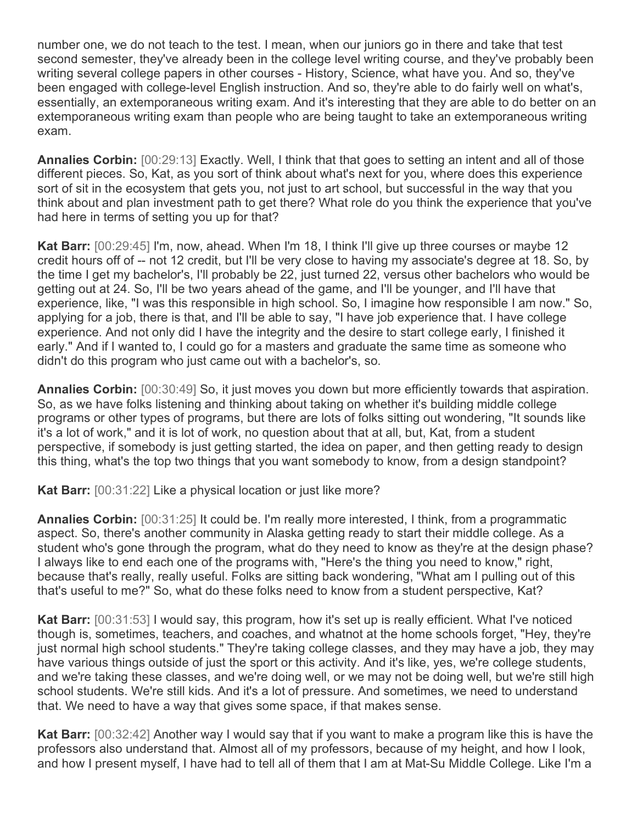number one, we do not teach to the test. I mean, when our juniors go in there and take that test second semester, they've already been in the college level writing course, and they've probably been writing several college papers in other courses - History, Science, what have you. And so, they've been engaged with college-level English instruction. And so, they're able to do fairly well on what's, essentially, an extemporaneous writing exam. And it's interesting that they are able to do better on an extemporaneous writing exam than people who are being taught to take an extemporaneous writing exam.

**Annalies Corbin:** [00:29:13] Exactly. Well, I think that that goes to setting an intent and all of those different pieces. So, Kat, as you sort of think about what's next for you, where does this experience sort of sit in the ecosystem that gets you, not just to art school, but successful in the way that you think about and plan investment path to get there? What role do you think the experience that you've had here in terms of setting you up for that?

**Kat Barr:** [00:29:45] I'm, now, ahead. When I'm 18, I think I'll give up three courses or maybe 12 credit hours off of -- not 12 credit, but I'll be very close to having my associate's degree at 18. So, by the time I get my bachelor's, I'll probably be 22, just turned 22, versus other bachelors who would be getting out at 24. So, I'll be two years ahead of the game, and I'll be younger, and I'll have that experience, like, "I was this responsible in high school. So, I imagine how responsible I am now." So, applying for a job, there is that, and I'll be able to say, "I have job experience that. I have college experience. And not only did I have the integrity and the desire to start college early, I finished it early." And if I wanted to, I could go for a masters and graduate the same time as someone who didn't do this program who just came out with a bachelor's, so.

**Annalies Corbin:** [00:30:49] So, it just moves you down but more efficiently towards that aspiration. So, as we have folks listening and thinking about taking on whether it's building middle college programs or other types of programs, but there are lots of folks sitting out wondering, "It sounds like it's a lot of work," and it is lot of work, no question about that at all, but, Kat, from a student perspective, if somebody is just getting started, the idea on paper, and then getting ready to design this thing, what's the top two things that you want somebody to know, from a design standpoint?

**Kat Barr:** [00:31:22] Like a physical location or just like more?

**Annalies Corbin:** [00:31:25] It could be. I'm really more interested, I think, from a programmatic aspect. So, there's another community in Alaska getting ready to start their middle college. As a student who's gone through the program, what do they need to know as they're at the design phase? I always like to end each one of the programs with, "Here's the thing you need to know," right, because that's really, really useful. Folks are sitting back wondering, "What am I pulling out of this that's useful to me?" So, what do these folks need to know from a student perspective, Kat?

**Kat Barr:** [00:31:53] I would say, this program, how it's set up is really efficient. What I've noticed though is, sometimes, teachers, and coaches, and whatnot at the home schools forget, "Hey, they're just normal high school students." They're taking college classes, and they may have a job, they may have various things outside of just the sport or this activity. And it's like, yes, we're college students, and we're taking these classes, and we're doing well, or we may not be doing well, but we're still high school students. We're still kids. And it's a lot of pressure. And sometimes, we need to understand that. We need to have a way that gives some space, if that makes sense.

**Kat Barr:** [00:32:42] Another way I would say that if you want to make a program like this is have the professors also understand that. Almost all of my professors, because of my height, and how I look, and how I present myself, I have had to tell all of them that I am at Mat-Su Middle College. Like I'm a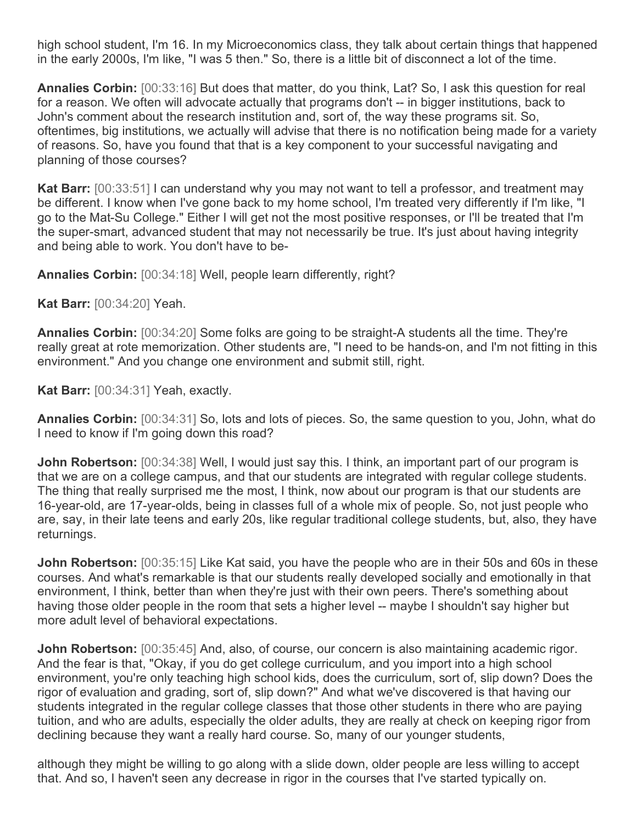high school student, I'm 16. In my Microeconomics class, they talk about certain things that happened in the early 2000s, I'm like, "I was 5 then." So, there is a little bit of disconnect a lot of the time.

**Annalies Corbin:** [00:33:16] But does that matter, do you think, Lat? So, I ask this question for real for a reason. We often will advocate actually that programs don't -- in bigger institutions, back to John's comment about the research institution and, sort of, the way these programs sit. So, oftentimes, big institutions, we actually will advise that there is no notification being made for a variety of reasons. So, have you found that that is a key component to your successful navigating and planning of those courses?

**Kat Barr:** [00:33:51] I can understand why you may not want to tell a professor, and treatment may be different. I know when I've gone back to my home school, I'm treated very differently if I'm like, "I go to the Mat-Su College." Either I will get not the most positive responses, or I'll be treated that I'm the super-smart, advanced student that may not necessarily be true. It's just about having integrity and being able to work. You don't have to be-

**Annalies Corbin:** [00:34:18] Well, people learn differently, right?

**Kat Barr:** [00:34:20] Yeah.

**Annalies Corbin:** [00:34:20] Some folks are going to be straight-A students all the time. They're really great at rote memorization. Other students are, "I need to be hands-on, and I'm not fitting in this environment." And you change one environment and submit still, right.

**Kat Barr:** [00:34:31] Yeah, exactly.

**Annalies Corbin:** [00:34:31] So, lots and lots of pieces. So, the same question to you, John, what do I need to know if I'm going down this road?

**John Robertson:** [00:34:38] Well, I would just say this. I think, an important part of our program is that we are on a college campus, and that our students are integrated with regular college students. The thing that really surprised me the most, I think, now about our program is that our students are 16-year-old, are 17-year-olds, being in classes full of a whole mix of people. So, not just people who are, say, in their late teens and early 20s, like regular traditional college students, but, also, they have returnings.

**John Robertson:** [00:35:15] Like Kat said, you have the people who are in their 50s and 60s in these courses. And what's remarkable is that our students really developed socially and emotionally in that environment, I think, better than when they're just with their own peers. There's something about having those older people in the room that sets a higher level -- maybe I shouldn't say higher but more adult level of behavioral expectations.

**John Robertson:** [00:35:45] And, also, of course, our concern is also maintaining academic rigor. And the fear is that, "Okay, if you do get college curriculum, and you import into a high school environment, you're only teaching high school kids, does the curriculum, sort of, slip down? Does the rigor of evaluation and grading, sort of, slip down?" And what we've discovered is that having our students integrated in the regular college classes that those other students in there who are paying tuition, and who are adults, especially the older adults, they are really at check on keeping rigor from declining because they want a really hard course. So, many of our younger students,

although they might be willing to go along with a slide down, older people are less willing to accept that. And so, I haven't seen any decrease in rigor in the courses that I've started typically on.